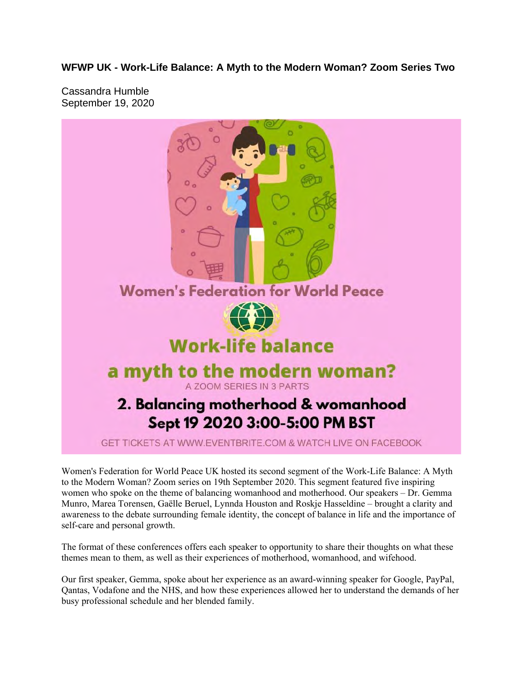**WFWP UK - Work-Life Balance: A Myth to the Modern Woman? Zoom Series Two**

Cassandra Humble September 19, 2020



Women's Federation for World Peace UK hosted its second segment of the Work-Life Balance: A Myth to the Modern Woman? Zoom series on 19th September 2020. This segment featured five inspiring women who spoke on the theme of balancing womanhood and motherhood. Our speakers – Dr. Gemma Munro, Marea Torensen, Gaëlle Beruel, Lynnda Houston and Roskje Hasseldine – brought a clarity and awareness to the debate surrounding female identity, the concept of balance in life and the importance of self-care and personal growth.

The format of these conferences offers each speaker to opportunity to share their thoughts on what these themes mean to them, as well as their experiences of motherhood, womanhood, and wifehood.

Our first speaker, Gemma, spoke about her experience as an award-winning speaker for Google, PayPal, Qantas, Vodafone and the NHS, and how these experiences allowed her to understand the demands of her busy professional schedule and her blended family.